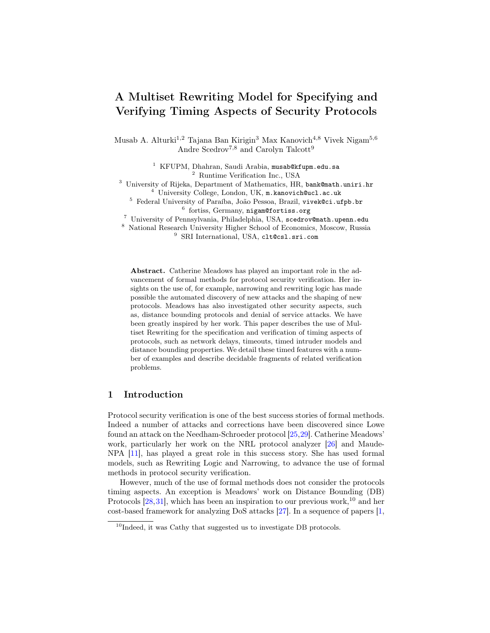# A Multiset Rewriting Model for Specifying and Verifying Timing Aspects of Security Protocols

Musab A. Alturki<sup>1,2</sup> Tajana Ban Kirigin<sup>3</sup> Max Kanovich<sup>4,8</sup> Vivek Nigam<sup>5,6</sup> Andre Scedrov7,<sup>8</sup> and Carolyn Talcott<sup>9</sup>

> <sup>1</sup> KFUPM, Dhahran, Saudi Arabia, musab@kfupm.edu.sa <sup>2</sup> Runtime Verification Inc., USA

<sup>3</sup> University of Rijeka, Department of Mathematics, HR, bank@math.uniri.hr <sup>4</sup> University College, London, UK, m.kanovich@ucl.ac.uk

<sup>5</sup> Federal University of Paraíba, João Pessoa, Brazil, vivek@ci.ufpb.br  $^6$  fortiss, Germany, nigam@fortiss.org

<sup>7</sup> University of Pennsylvania, Philadelphia, USA, scedrov@math.upenn.edu

<sup>8</sup> National Research University Higher School of Economics, Moscow, Russia <sup>9</sup> SRI International, USA, clt@csl.sri.com

Abstract. Catherine Meadows has played an important role in the advancement of formal methods for protocol security verification. Her insights on the use of, for example, narrowing and rewriting logic has made possible the automated discovery of new attacks and the shaping of new protocols. Meadows has also investigated other security aspects, such as, distance bounding protocols and denial of service attacks. We have been greatly inspired by her work. This paper describes the use of Multiset Rewriting for the specification and verification of timing aspects of protocols, such as network delays, timeouts, timed intruder models and distance bounding properties. We detail these timed features with a number of examples and describe decidable fragments of related verification problems.

# 1 Introduction

Protocol security verification is one of the best success stories of formal methods. Indeed a number of attacks and corrections have been discovered since Lowe found an attack on the Needham-Schroeder protocol [\[25,](#page-20-0)[29\]](#page-20-1). Catherine Meadows' work, particularly her work on the NRL protocol analyzer [\[26\]](#page-20-2) and Maude-NPA [\[11\]](#page-19-0), has played a great role in this success story. She has used formal models, such as Rewriting Logic and Narrowing, to advance the use of formal methods in protocol security verification.

However, much of the use of formal methods does not consider the protocols timing aspects. An exception is Meadows' work on Distance Bounding (DB) Protocols  $[28,31]$  $[28,31]$ , which has been an inspiration to our previous work,<sup>10</sup> and her cost-based framework for analyzing DoS attacks [\[27\]](#page-20-5). In a sequence of papers [\[1,](#page-18-0)

 $10$ Indeed, it was Cathy that suggested us to investigate DB protocols.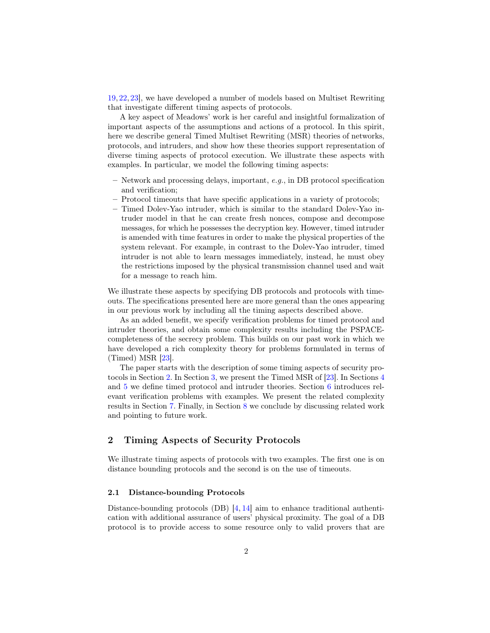[19,](#page-19-1) [22,](#page-19-2) [23\]](#page-20-6), we have developed a number of models based on Multiset Rewriting that investigate different timing aspects of protocols.

A key aspect of Meadows' work is her careful and insightful formalization of important aspects of the assumptions and actions of a protocol. In this spirit, here we describe general Timed Multiset Rewriting (MSR) theories of networks, protocols, and intruders, and show how these theories support representation of diverse timing aspects of protocol execution. We illustrate these aspects with examples. In particular, we model the following timing aspects:

- Network and processing delays, important, e.g., in DB protocol specification and verification;
- Protocol timeouts that have specific applications in a variety of protocols;
- Timed Dolev-Yao intruder, which is similar to the standard Dolev-Yao intruder model in that he can create fresh nonces, compose and decompose messages, for which he possesses the decryption key. However, timed intruder is amended with time features in order to make the physical properties of the system relevant. For example, in contrast to the Dolev-Yao intruder, timed intruder is not able to learn messages immediately, instead, he must obey the restrictions imposed by the physical transmission channel used and wait for a message to reach him.

We illustrate these aspects by specifying DB protocols and protocols with timeouts. The specifications presented here are more general than the ones appearing in our previous work by including all the timing aspects described above.

As an added benefit, we specify verification problems for timed protocol and intruder theories, and obtain some complexity results including the PSPACEcompleteness of the secrecy problem. This builds on our past work in which we have developed a rich complexity theory for problems formulated in terms of (Timed) MSR [\[23\]](#page-20-6).

The paper starts with the description of some timing aspects of security protocols in Section [2.](#page-1-0) In Section [3,](#page-3-0) we present the Timed MSR of [\[23\]](#page-20-6). In Sections [4](#page-5-0) and [5](#page-9-0) we define timed protocol and intruder theories. Section [6](#page-11-0) introduces relevant verification problems with examples. We present the related complexity results in Section [7.](#page-16-0) Finally, in Section [8](#page-17-0) we conclude by discussing related work and pointing to future work.

# <span id="page-1-0"></span>2 Timing Aspects of Security Protocols

We illustrate timing aspects of protocols with two examples. The first one is on distance bounding protocols and the second is on the use of timeouts.

## 2.1 Distance-bounding Protocols

Distance-bounding protocols  $(DB)$  [\[4,](#page-18-1) [14\]](#page-19-3) aim to enhance traditional authentication with additional assurance of users' physical proximity. The goal of a DB protocol is to provide access to some resource only to valid provers that are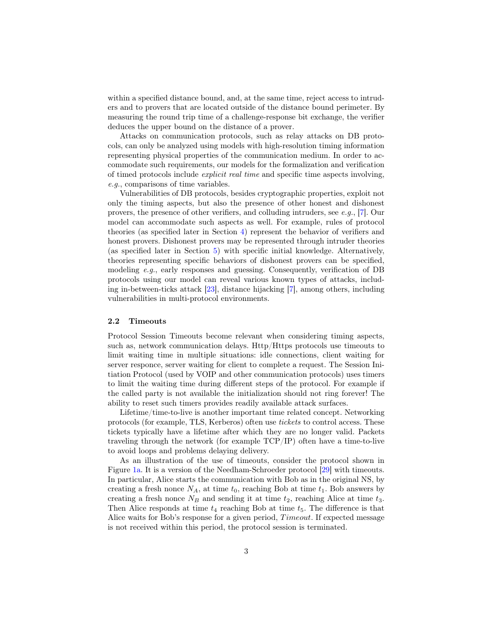within a specified distance bound, and, at the same time, reject access to intruders and to provers that are located outside of the distance bound perimeter. By measuring the round trip time of a challenge-response bit exchange, the verifier deduces the upper bound on the distance of a prover.

Attacks on communication protocols, such as relay attacks on DB protocols, can only be analyzed using models with high-resolution timing information representing physical properties of the communication medium. In order to accommodate such requirements, our models for the formalization and verification of timed protocols include explicit real time and specific time aspects involving, e.g., comparisons of time variables.

Vulnerabilities of DB protocols, besides cryptographic properties, exploit not only the timing aspects, but also the presence of other honest and dishonest provers, the presence of other verifiers, and colluding intruders, see e.g.,  $[7]$ . Our model can accommodate such aspects as well. For example, rules of protocol theories (as specified later in Section [4\)](#page-5-0) represent the behavior of verifiers and honest provers. Dishonest provers may be represented through intruder theories (as specified later in Section [5\)](#page-9-0) with specific initial knowledge. Alternatively, theories representing specific behaviors of dishonest provers can be specified, modeling e.g., early responses and guessing. Consequently, verification of DB protocols using our model can reveal various known types of attacks, including in-between-ticks attack [\[23\]](#page-20-6), distance hijacking [\[7\]](#page-19-4), among others, including vulnerabilities in multi-protocol environments.

#### <span id="page-2-0"></span>2.2 Timeouts

Protocol Session Timeouts become relevant when considering timing aspects, such as, network communication delays. Http/Https protocols use timeouts to limit waiting time in multiple situations: idle connections, client waiting for server responce, server waiting for client to complete a request. The Session Initiation Protocol (used by VOIP and other communication protocols) uses timers to limit the waiting time during different steps of the protocol. For example if the called party is not available the initialization should not ring forever! The ability to reset such timers provides readily available attack surfaces.

Lifetime/time-to-live is another important time related concept. Networking protocols (for example, TLS, Kerberos) often use tickets to control access. These tickets typically have a lifetime after which they are no longer valid. Packets traveling through the network (for example TCP/IP) often have a time-to-live to avoid loops and problems delaying delivery.

As an illustration of the use of timeouts, consider the protocol shown in Figure [1a.](#page-3-1) It is a version of the Needham-Schroeder protocol [\[29\]](#page-20-1) with timeouts. In particular, Alice starts the communication with Bob as in the original NS, by creating a fresh nonce  $N_A$ , at time  $t_0$ , reaching Bob at time  $t_1$ . Bob answers by creating a fresh nonce  $N_B$  and sending it at time  $t_2$ , reaching Alice at time  $t_3$ . Then Alice responds at time  $t_4$  reaching Bob at time  $t_5$ . The difference is that Alice waits for Bob's response for a given period,  $Timeout$ . If expected message is not received within this period, the protocol session is terminated.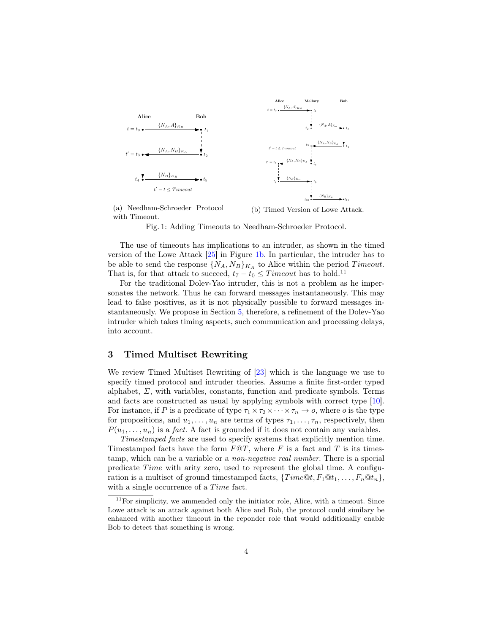<span id="page-3-1"></span>

(a) Needham-Schroeder Protocol with Timeout.

(b) Timed Version of Lowe Attack.

Fig. 1: Adding Timeouts to Needham-Schroeder Protocol.

The use of timeouts has implications to an intruder, as shown in the timed version of the Lowe Attack [\[25\]](#page-20-0) in Figure [1b.](#page-3-1) In particular, the intruder has to be able to send the response  $\{N_A, N_B\}_{K_A}$  to Alice within the period Timeout. That is, for that attack to succeed,  $t_7 - t_0 \leq$  Timeout has to hold.<sup>11</sup>

For the traditional Dolev-Yao intruder, this is not a problem as he impersonates the network. Thus he can forward messages instantaneously. This may lead to false positives, as it is not physically possible to forward messages instantaneously. We propose in Section [5,](#page-9-0) therefore, a refinement of the Dolev-Yao intruder which takes timing aspects, such communication and processing delays, into account.

## <span id="page-3-0"></span>3 Timed Multiset Rewriting

We review Timed Multiset Rewriting of [\[23\]](#page-20-6) which is the language we use to specify timed protocol and intruder theories. Assume a finite first-order typed alphabet,  $\Sigma$ , with variables, constants, function and predicate symbols. Terms and facts are constructed as usual by applying symbols with correct type [\[10\]](#page-19-5). For instance, if P is a predicate of type  $\tau_1 \times \tau_2 \times \cdots \times \tau_n \to o$ , where o is the type for propositions, and  $u_1, \ldots, u_n$  are terms of types  $\tau_1, \ldots, \tau_n$ , respectively, then  $P(u_1, \ldots, u_n)$  is a fact. A fact is grounded if it does not contain any variables.

Timestamped facts are used to specify systems that explicitly mention time. Timestamped facts have the form  $F@T$ , where F is a fact and T is its timestamp, which can be a variable or a non-negative real number. There is a special predicate Time with arity zero, used to represent the global time. A configuration is a multiset of ground timestamped facts,  ${Time@t, F_1@t_1, \ldots, F_n@t_n}$ , with a single occurrence of a  $Time$  fact.

 $11$ For simplicity, we ammended only the initiator role, Alice, with a timeout. Since Lowe attack is an attack against both Alice and Bob, the protocol could similary be enhanced with another timeout in the reponder role that would additionally enable Bob to detect that something is wrong.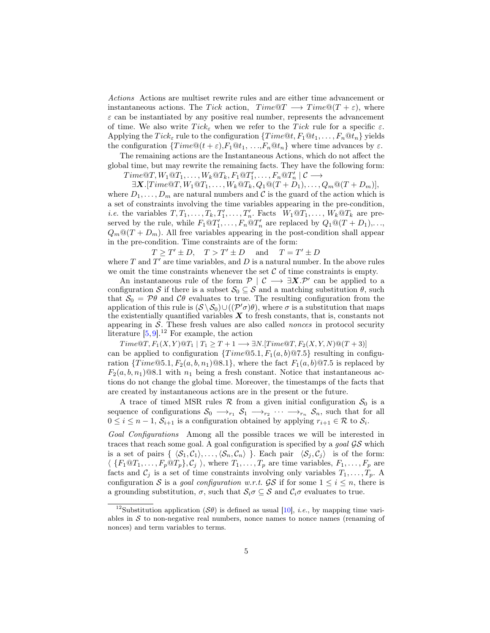Actions Actions are multiset rewrite rules and are either time advancement or instantaneous actions. The Tick action,  $Time@T \rightarrow Time@T + \varepsilon$ , where  $\varepsilon$  can be instantiated by any positive real number, represents the advancement of time. We also write  $Tick_{\varepsilon}$  when we refer to the Tick rule for a specific  $\varepsilon$ . Applying the  $Tick_{\varepsilon}$  rule to the configuration  $\{Time@t, F_1@t_1, \ldots, F_n@t_n\}$  yields the configuration  ${Time@}(t + \varepsilon), F_1@t_1, ..., F_n@t_n$  where time advances by  $\varepsilon$ .

The remaining actions are the Instantaneous Actions, which do not affect the global time, but may rewrite the remaining facts. They have the following form:

 $Time@T, W_1@T_1, \ldots, W_k@T_k, F_1@T'_1, \ldots, F_n@T'_n \mid \mathcal{C} \longrightarrow$ 

 $\exists \mathbf{X}.[Time@T, W_1@T_1, \ldots, W_k@T_k, Q_1@(T+D_1), \ldots, Q_m@(T+D_m)],$ where  $D_1, \ldots, D_m$  are natural numbers and C is the guard of the action which is a set of constraints involving the time variables appearing in the pre-condition, *i.e.* the variables  $T, T_1, \ldots, T_k, T'_1, \ldots, T'_n$ . Facts  $W_1 \mathbb{Q} T_1, \ldots, W_k \mathbb{Q} T_k$  are preserved by the rule, while  $F_1 \mathbb{Q} T'_1, \ldots, F_n \mathbb{Q} T'_n$  are replaced by  $Q_1 \mathbb{Q} (T + D_1), \ldots$  $Q_m \mathbb{Q}(T+D_m)$ . All free variables appearing in the post-condition shall appear in the pre-condition. Time constraints are of the form:

 $T \geq T' \pm D$ ,  $T > T' \pm D$  and  $T = T' \pm D$ where  $T$  and  $T'$  are time variables, and  $D$  is a natural number. In the above rules we omit the time constraints whenever the set  $\mathcal C$  of time constraints is empty.

An instantaneous rule of the form  $\mathcal{P} \mid \mathcal{C} \longrightarrow \exists \mathbf{X} . \mathcal{P}'$  can be applied to a configuration S if there is a subset  $S_0 \subseteq S$  and a matching substitution  $\theta$ , such that  $S_0 = \mathcal{P}\theta$  and  $\mathcal{C}\theta$  evaluates to true. The resulting configuration from the application of this rule is  $(S \setminus S_0) \cup ((P' \sigma) \theta)$ , where  $\sigma$  is a substitution that maps the existentially quantified variables  $X$  to fresh constants, that is, constants not appearing in  $S$ . These fresh values are also called *nonces* in protocol security literature  $[5, 9]$  $[5, 9]$  $[5, 9]$ .<sup>12</sup> For example, the action

 $Time@T, F_1(X, Y)@T_1 | T_1 \geq T + 1 \longrightarrow \exists N. [Time@T, F_2(X, Y, N)@(T + 3)]$ can be applied to configuration  ${Time@5.1, F_1(a, b)@7.5}$  resulting in configuration  ${Time@5.1, F_2(a, b, n_1)@8.1}$ , where the fact  $F_1(a, b)@7.5$  is replaced by  $F_2(a, b, n_1)$  @8.1 with  $n_1$  being a fresh constant. Notice that instantaneous actions do not change the global time. Moreover, the timestamps of the facts that are created by instantaneous actions are in the present or the future.

A trace of timed MSR rules  $\mathcal R$  from a given initial configuration  $\mathcal S_0$  is a sequence of configurations  $S_0 \longrightarrow_{r_1} S_1 \longrightarrow_{r_2} \cdots \longrightarrow_{r_n} S_n$ , such that for all  $0 \leq i \leq n-1$ ,  $S_{i+1}$  is a configuration obtained by applying  $r_{i+1} \in \mathcal{R}$  to  $S_i$ .

Goal Configurations Among all the possible traces we will be interested in traces that reach some goal. A goal configuration is specified by a goal  $\mathcal{GS}$  which is a set of pairs  $\{ \langle S_1, C_1 \rangle, \ldots, \langle S_n, C_n \rangle \}$ . Each pair  $\langle S_j, C_j \rangle$  is of the form:  $\langle \{F_1@T_1, \ldots, F_p@T_p\}, C_j \rangle$ , where  $T_1, \ldots, T_p$  are time variables,  $F_1, \ldots, F_p$  are facts and  $C_j$  is a set of time constraints involving only variables  $T_1, \ldots, T_p$ . A configuration S is a goal configuration w.r.t.  $\mathcal{G}S$  if for some  $1 \leq i \leq n$ , there is a grounding substitution,  $\sigma$ , such that  $S_i \sigma \subseteq S$  and  $C_i \sigma$  evaluates to true.

<sup>&</sup>lt;sup>12</sup>Substitution application ( $\mathcal{S}\theta$ ) is defined as usual [\[10\]](#page-19-5), *i.e.*, by mapping time variables in  $S$  to non-negative real numbers, nonce names to nonce names (renaming of nonces) and term variables to terms.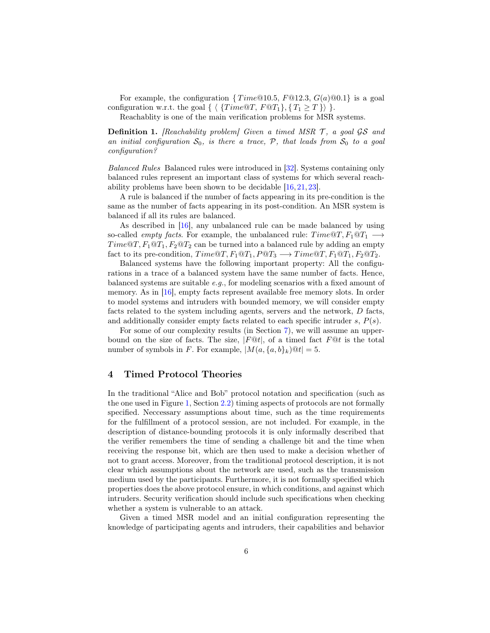For example, the configuration  $\{Time@10.5, F@12.3, G(a)@0.1\}$  is a goal configuration w.r.t. the goal {  $\langle$  {Time@T, F@T<sub>1</sub>}, { T<sub>1</sub>  $\geq$  T}} }.

Reachablity is one of the main verification problems for MSR systems.

**Definition 1.** [Reachability problem] Given a timed MSR  $\mathcal{T}$ , a goal  $\mathcal{GS}$  and an initial configuration  $S_0$ , is there a trace, P, that leads from  $S_0$  to a goal configuration?

Balanced Rules Balanced rules were introduced in [\[32\]](#page-20-7). Systems containing only balanced rules represent an important class of systems for which several reachability problems have been shown to be decidable [\[16,](#page-19-8) [21,](#page-19-9) [23\]](#page-20-6).

A rule is balanced if the number of facts appearing in its pre-condition is the same as the number of facts appearing in its post-condition. An MSR system is balanced if all its rules are balanced.

As described in [\[16\]](#page-19-8), any unbalanced rule can be made balanced by using so-called *empty facts*. For example, the unbalanced rule:  $Time@T, F_1@T_1 \longrightarrow$  $Time@T, F_1@T_1, F_2@T_2$  can be turned into a balanced rule by adding an empty fact to its pre-condition,  $Time@T, F_1@T_1, P@T_3 \longrightarrow Time@T, F_1@T_1, F_2@T_2.$ 

Balanced systems have the following important property: All the configurations in a trace of a balanced system have the same number of facts. Hence, balanced systems are suitable e.g., for modeling scenarios with a fixed amount of memory. As in [\[16\]](#page-19-8), empty facts represent available free memory slots. In order to model systems and intruders with bounded memory, we will consider empty facts related to the system including agents, servers and the network, D facts, and additionally consider empty facts related to each specific intruder  $s$ ,  $P(s)$ .

For some of our complexity results (in Section [7\)](#page-16-0), we will assume an upperbound on the size of facts. The size,  $|F@t|$ , of a timed fact  $F@t$  is the total number of symbols in F. For example,  $|M(a, {a, b)_k\rangle \mathbb{Q}t| = 5$ .

# <span id="page-5-0"></span>4 Timed Protocol Theories

In the traditional "Alice and Bob" protocol notation and specification (such as the one used in Figure [1,](#page-3-1) Section [2.2\)](#page-2-0) timing aspects of protocols are not formally specified. Neccessary assumptions about time, such as the time requirements for the fulfillment of a protocol session, are not included. For example, in the description of distance-bounding protocols it is only informally described that the verifier remembers the time of sending a challenge bit and the time when receiving the response bit, which are then used to make a decision whether of not to grant access. Moreover, from the traditional protocol description, it is not clear which assumptions about the network are used, such as the transmission medium used by the participants. Furthermore, it is not formally specified which properties does the above protocol ensure, in which conditions, and against which intruders. Security verification should include such specifications when checking whether a system is vulnerable to an attack.

Given a timed MSR model and an initial configuration representing the knowledge of participating agents and intruders, their capabilities and behavior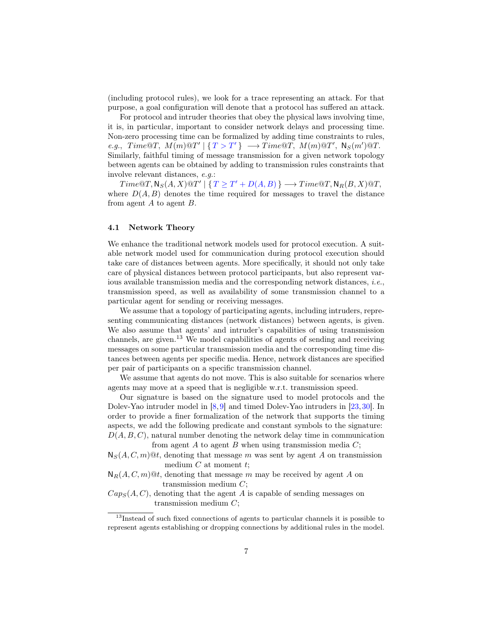(including protocol rules), we look for a trace representing an attack. For that purpose, a goal configuration will denote that a protocol has suffered an attack.

For protocol and intruder theories that obey the physical laws involving time, it is, in particular, important to consider network delays and processing time. Non-zero processing time can be formalized by adding time constraints to rules,  $e.g., Time@T, M(m)@T' | {T>T' } \longrightarrow Time@T, M(m)@T', N<sub>S</sub>(m')@T.$ Similarly, faithful timing of message transmission for a given network topology between agents can be obtained by adding to transmission rules constraints that involve relevant distances, e.g.:

 $Time@T, N_S(A, X)@T' | { T \geq T' + D(A, B) } \longrightarrow Time@T, N_R(B, X)@T,$ where  $D(A, B)$  denotes the time required for messages to travel the distance from agent A to agent B.

### 4.1 Network Theory

We enhance the traditional network models used for protocol execution. A suitable network model used for communication during protocol execution should take care of distances between agents. More specifically, it should not only take care of physical distances between protocol participants, but also represent various available transmission media and the corresponding network distances, *i.e.*, transmission speed, as well as availability of some transmission channel to a particular agent for sending or receiving messages.

We assume that a topology of participating agents, including intruders, representing communicating distances (network distances) between agents, is given. We also assume that agents' and intruder's capabilities of using transmission channels, are given.<sup>13</sup> We model capabilities of agents of sending and receiving messages on some particular transmission media and the corresponding time distances between agents per specific media. Hence, network distances are specified per pair of participants on a specific transmission channel.

We assume that agents do not move. This is also suitable for scenarios where agents may move at a speed that is negligible w.r.t. transmission speed.

Our signature is based on the signature used to model protocols and the Dolev-Yao intruder model in [\[8,](#page-19-10) [9\]](#page-19-7) and timed Dolev-Yao intruders in [\[23,](#page-20-6) [30\]](#page-20-8). In order to provide a finer formalization of the network that supports the timing aspects, we add the following predicate and constant symbols to the signature:  $D(A, B, C)$ , natural number denoting the network delay time in communication

from agent A to agent B when using transmission media  $C$ ;

- $N_S(A, C, m)$  and the message m was sent by agent A on transmission medium  $C$  at moment  $t$ ;
- $N_R(A, C, m)$ <sup>o</sup>t, denoting that message m may be received by agent A on transmission medium  $C$ ;
- $Cap_S(A, C)$ , denoting that the agent A is capable of sending messages on transmission medium  $C$ ;

<sup>&</sup>lt;sup>13</sup>Instead of such fixed connections of agents to particular channels it is possible to represent agents establishing or dropping connections by additional rules in the model.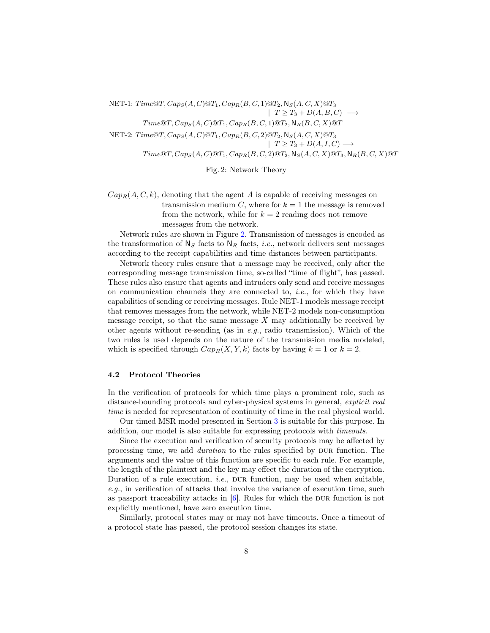<span id="page-7-0"></span>NET-1:  $Time@T, Cap_S(A, C)@T_1, Cap_R(B, C, 1)@T_2, N_S(A, C, X)@T_3$  $| T \geq T_3 + D(A, B, C) \longrightarrow$  $Time@T, Cap_S(A, C)@T_1, Cap_R(B, C, 1)@T_2, N_R(B, C, X)@T$ NET-2:  $Time@T, Cap_S(A, C)@T_1, Cap_B(B, C, 2)@T_2, N_S(A, C, X)@T_3$  $| T \geq T_3 + D(A, I, C) \longrightarrow$  $Time@T, Cap_S(A, C)@T_1, Cap_R(B, C, 2)@T_2, N_S(A, C, X)@T_3, N_R(B, C, X)@T$ 

Fig. 2: Network Theory

 $Cap<sub>R</sub>(A, C, k)$ , denoting that the agent A is capable of receiving messages on transmission medium C, where for  $k = 1$  the message is removed from the network, while for  $k = 2$  reading does not remove messages from the network.

Network rules are shown in Figure [2.](#page-7-0) Transmission of messages is encoded as the transformation of  $N_S$  facts to  $N_R$  facts, *i.e.*, network delivers sent messages according to the receipt capabilities and time distances between participants.

Network theory rules ensure that a message may be received, only after the corresponding message transmission time, so-called "time of flight", has passed. These rules also ensure that agents and intruders only send and receive messages on communication channels they are connected to, *i.e.*, for which they have capabilities of sending or receiving messages. Rule NET-1 models message receipt that removes messages from the network, while NET-2 models non-consumption message receipt, so that the same message  $X$  may additionally be received by other agents without re-sending (as in  $e.g.,$  radio transmission). Which of the two rules is used depends on the nature of the transmission media modeled, which is specified through  $Cap_R(X, Y, k)$  facts by having  $k = 1$  or  $k = 2$ .

#### 4.2 Protocol Theories

In the verification of protocols for which time plays a prominent role, such as distance-bounding protocols and cyber-physical systems in general, explicit real time is needed for representation of continuity of time in the real physical world.

Our timed MSR model presented in Section [3](#page-3-0) is suitable for this purpose. In addition, our model is also suitable for expressing protocols with timeouts.

Since the execution and verification of security protocols may be affected by processing time, we add duration to the rules specified by dur function. The arguments and the value of this function are specific to each rule. For example, the length of the plaintext and the key may effect the duration of the encryption. Duration of a rule execution, *i.e.*, DUR function, may be used when suitable, e.g., in verification of attacks that involve the variance of execution time, such as passport traceability attacks in  $[6]$ . Rules for which the DUR function is not explicitly mentioned, have zero execution time.

Similarly, protocol states may or may not have timeouts. Once a timeout of a protocol state has passed, the protocol session changes its state.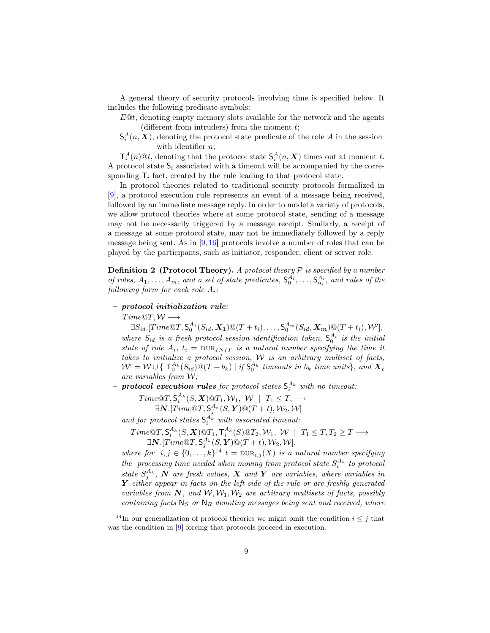A general theory of security protocols involving time is specified below. It includes the following predicate symbols:

- $E@t$ , denoting empty memory slots available for the network and the agents (different from intruders) from the moment  $t$ ;
- $\mathsf{S}_i^A(n,\bm{X}),$  denoting the protocol state predicate of the role A in the session with identifier  $n$ ;

 $\mathsf{T}_i^A(n) @ t$ , denoting that the protocol state  $\mathsf{S}_i^A(n, \mathbf{X})$  times out at moment t. A protocol state  $S_i$  associated with a timeout will be accompanied by the corresponding  $\mathsf{T}_i$  fact, created by the rule leading to that protocol state.

In protocol theories related to traditional security protocols formalized in [\[9\]](#page-19-7), a protocol execution rule represents an event of a message being received, followed by an immediate message reply. In order to model a variety of protocols, we allow protocol theories where at some protocol state, sending of a message may not be necessarily triggered by a message receipt. Similarly, a receipt of a message at some protocol state, may not be immediately followed by a reply message being sent. As in [\[9,](#page-19-7)[16\]](#page-19-8) protocols involve a number of roles that can be played by the participants, such as initiator, responder, client or server role.

<span id="page-8-0"></span>**Definition 2** (Protocol Theory). A protocol theory  $P$  is specified by a number of roles,  $A_1, \ldots, A_m$ , and a set of state predicates,  $S_0^{A_i}, \ldots, S_{n_i}^{A_i}$ , and rules of the following form for each role  $A_i$ :

### – protocol initialization rule:

 $Time@T.W \longrightarrow$ 

 $\exists S_{id}.[Time@T, \mathsf{S}_0^{A_1}(S_{id}, \mathbf{X_1}) \mathsf{Q}(T+t_i), \dots, \mathsf{S}_0^{A_m}(S_{id}, \mathbf{X_m}) \mathsf{Q}(T+t_i), \mathcal{W}'],$ where  $S_{id}$  is a fresh protocol session identification token,  $S_0^{A_i}$  is the initial state of role  $A_i$ ,  $t_i = \text{DUR}_{INIT}$  is a natural number specifying the time it takes to initialize a protocol session, W is an arbitrary multiset of facts,  $W' = W \cup \{ T_0^{A_k}(S_{id}) \mathbb{Q}(T+b_k) \mid \text{if } S_0^{A_k} \text{ timeouts in } b_k \text{ time units} \}, \text{ and } X_i$ are variables from W;

 $-$  protocol execution rules for protocol states  $S_i^{A_k}$  with no timeout:

 $Time@T, \mathsf{S}^{A_k}_i(S,\boldsymbol{X})@T_1,\mathcal{W}_1,\ \mathcal{W}\ \mid\ T_1\leq T, \longrightarrow$  $\exists \boldsymbol{N}. [Time@T, \boldsymbol{\mathsf{S}}_j^{A_k}(S, \boldsymbol{Y}) @ (T+t), \mathcal{W}_2, \mathcal{W}]$ 

and for protocol states  $S_i^{A_k}$  with associated timeout:

 $Time@T, \mathsf{S}^{A_k}_i(S, \boldsymbol{X}) @T_1, \mathsf{T}^{A_k}_i(S) @T_2, \mathcal{W}_1, \mathcal{W} \mid T_1 \leq T, T_2 \geq T \longrightarrow$  $\exists \boldsymbol{N}.[\boldsymbol{Time@T}, \boldsymbol{\mathsf{S}}^{A_{k}}_{j}(\boldsymbol{S},\boldsymbol{Y})\allowbreak @ (\boldsymbol{T}+\boldsymbol{t}), \mathcal{W}_{2}, \mathcal{W}],$ 

where for  $i, j \in \{0, ..., k\}^{14}$  t =  $DUR_{i,j}(X)$  is a natural number specifying the processing time needed when moving from protocol state  $S_i^{A_k}$  to protocol state  $S_j^{A_k}$ , N are fresh values, X and Y are variables, where variables in Y either appear in facts on the left side of the rule or are freshly generated variables from  $N$ , and  $W$ ,  $W_1$ ,  $W_2$  are arbitrary multisets of facts, possibly containing facts  $N_S$  or  $N_R$  denoting messages being sent and received, where

<sup>&</sup>lt;sup>14</sup>In our generalization of protocol theories we might omit the condition  $i \leq j$  that was the condition in  $[9]$  forcing that protocols proceed in execution.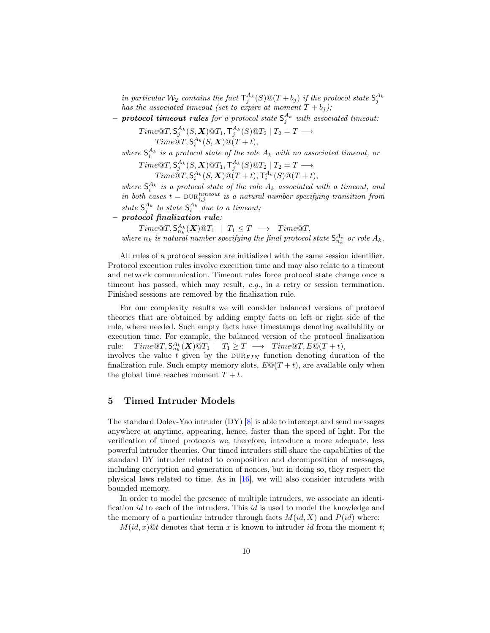in particular  $\mathcal{W}_2$  contains the fact  $\mathsf{T}_{j}^{A_k}(S) \mathbb{Q}(T+b_j)$  if the protocol state  $\mathsf{S}_{j}^{A_k}$ has the associated timeout (set to expire at moment  $T + b_j$ );

– protocol timeout rules for a protocol state S A<sup>k</sup> <sup>j</sup> with associated timeout:

$$
Time@T, S_j^{A_k}(S, X)@T_1, T_j^{A_k}(S)@T_2 | T_2 = T \longrightarrow
$$
  

$$
Time@T, S_i^{A_k}(S, X)@(T + t),
$$

where  $S_i^{A_k}$  is a protocol state of the role  $A_k$  with no associated timeout, or

 $Time@T, \mathsf{S}_{j}^{A_{k}}(S, \boldsymbol{X})@T_{1}, \mathsf{T}_{j}^{A_{k}}(S)@T_{2}$  |  $T_{2} = T \longrightarrow$  $Time@T, \mathsf{S}^{A_k}_i(S, \boldsymbol{X}) \mathsf{\Omega} (T+t), \mathsf{T}^{A_k}_i(S) \mathsf{\Omega} (T+t),$ 

where  $S_i^{A_k}$  is a protocol state of the role  $A_k$  associated with a timeout, and in both cases  $t = \text{DUR}_{i,j}^{timeout}$  is a natural number specifying transition from state  $S_j^{A_k}$  to state  $S_i^{A_k}$  due to a timeout;

– protocol finalization rule:

 $Time@T, \mathsf{S}^{A_k}_{n_k}(\boldsymbol{X})@T_1 \mid T_1 \leq T \longrightarrow Time@T,$ where  $n_k$  is natural number specifying the final protocol state  $S_{n_k}^{A_k}$  or role  $A_k$ .

All rules of a protocol session are initialized with the same session identifier. Protocol execution rules involve execution time and may also relate to a timeout and network communication. Timeout rules force protocol state change once a timeout has passed, which may result, e.g., in a retry or session termination. Finished sessions are removed by the finalization rule.

For our complexity results we will consider balanced versions of protocol theories that are obtained by adding empty facts on left or right side of the rule, where needed. Such empty facts have timestamps denoting availability or execution time. For example, the balanced version of the protocol finalization rule:  $Time@T, S^{A_k}_{n_k}(X)@T_1 | T_1 \geq T \longrightarrow Time@T, E@(T+t),$ involves the value  $\hat{t}$  given by the DUR<sub>FIN</sub> function denoting duration of the finalization rule. Such empty memory slots,  $E@(T + t)$ , are available only when

## <span id="page-9-0"></span>5 Timed Intruder Models

the global time reaches moment  $T + t$ .

The standard Dolev-Yao intruder (DY) [\[8\]](#page-19-10) is able to intercept and send messages anywhere at anytime, appearing, hence, faster than the speed of light. For the verification of timed protocols we, therefore, introduce a more adequate, less powerful intruder theories. Our timed intruders still share the capabilities of the standard DY intruder related to composition and decomposition of messages, including encryption and generation of nonces, but in doing so, they respect the physical laws related to time. As in [\[16\]](#page-19-8), we will also consider intruders with bounded memory.

In order to model the presence of multiple intruders, we associate an identification id to each of the intruders. This id is used to model the knowledge and the memory of a particular intruder through facts  $M(id, X)$  and  $P(id)$  where:

 $M(id, x)$  denotes that term x is known to intruder id from the moment t;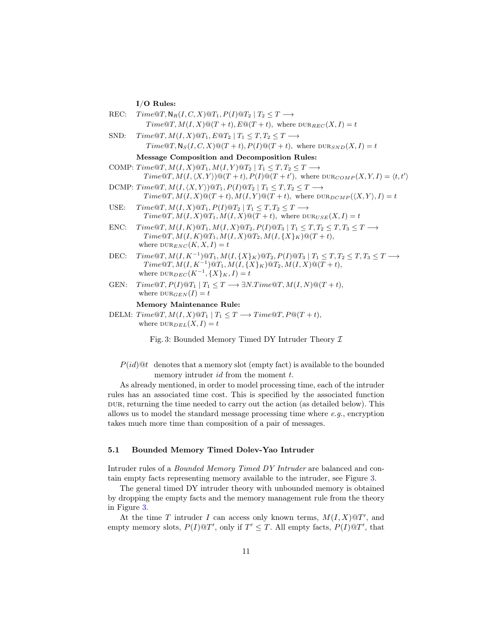#### I/O Rules:

<span id="page-10-0"></span>

| REC: | $Time@T, N_R(I, C, X)@T_1, P(I)@T_2   T_2 \leq T \longrightarrow$                                                                                                                                                          |
|------|----------------------------------------------------------------------------------------------------------------------------------------------------------------------------------------------------------------------------|
|      | $Time@T, M(I, X)@(T+t), E@(T+t),$ where $DUR_{REC}(X, I) = t$                                                                                                                                                              |
| SND: | $Time@T, M(I, X)@T_1, E@T_2   T_1 \leq T, T_2 \leq T \longrightarrow$                                                                                                                                                      |
|      | $Time@T, N_S(I, C, X)@(T + t), P(I)@(T + t),$ where $DUR_{SND}(X, I) = t$                                                                                                                                                  |
|      | <b>Message Composition and Decomposition Rules:</b>                                                                                                                                                                        |
|      | COMP: $Time@T, M(I, X)@T_1, M(I, Y)@T_2   T_1 \leq T, T_2 \leq T \longrightarrow$<br>$Time@T, M(I, \langle X, Y \rangle) \mathcal{Q}(T+t), P(I) \mathcal{Q}(T+t'),$ where $DUR_{COMP}(X, Y, I) = \langle t, t' \rangle$    |
|      | DCMP: $Time@T, M(I, \langle X, Y \rangle)@T_1, P(I)@T_2   T_1 \leq T, T_2 \leq T \longrightarrow$<br>$Time@T, M(I, X)@(T + t), M(I, Y)@(T + t),$ where $DURDCMP(\langle X, Y \rangle, I) = t$                              |
| USE: | $Time@T, M(I, X)@T_1, P(I)@T_2   T_1 \leq T, T_2 \leq T \longrightarrow$<br>$Time@T, M(I, X)@T_1, M(I, X)@(T+t)$ , where $DUR_{USE}(X, I) = t$                                                                             |
| ENC: | $Time@T, M(I, K)@T_1, M(I, X)@T_2, P(I)@T_3   T_1 \leq T, T_2 \leq T, T_3 \leq T \longrightarrow$<br>$Time@T, M(I, K)@T_1, M(I, X)@T_2, M(I, {X}_K)@(T+t),$<br>where $DUR_{ENC}(K, X, I) = t$                              |
| DEC: | $Time@T, M(I, K^{-1})@T_1, M(I, {X}_{K})@T_2, P(I)@T_3   T_1 \leq T, T_2 \leq T, T_3 \leq T \longrightarrow$<br>$Time@T, M(I, K^{-1})@T_1, M(I, {X}_K)@T_2, M(I, X)@(T + t),$<br>where $DUR_{DEC}(K^{-1}, \{X\}_K, I) = t$ |
| GEN: | $Time@T, P(I)@T_1   T_1 \leq T \longrightarrow \exists N. Time@T, M(I, N)@(T + t),$<br>where $\text{DUR}_{GEN}(I) = t$                                                                                                     |
|      | Memory Maintenance Rule:                                                                                                                                                                                                   |
|      | DELM: $Time@T, M(I, X)@T_1   T_1 \leq T \longrightarrow Time@T, P@(T + t),$<br>where $\text{DUR}_{DEL}(X, I) = t$                                                                                                          |
|      |                                                                                                                                                                                                                            |

Fig. 3: Bounded Memory Timed DY Intruder Theory  $\mathcal I$ 

 $P(id)$ <sup> $\circledcirc$ </sup>t denotes that a memory slot (empty fact) is available to the bounded memory intruder  $id$  from the moment  $t$ .

As already mentioned, in order to model processing time, each of the intruder rules has an associated time cost. This is specified by the associated function bur, returning the time needed to carry out the action (as detailed below). This allows us to model the standard message processing time where  $e.g.,$  encryption takes much more time than composition of a pair of messages.

# 5.1 Bounded Memory Timed Dolev-Yao Intruder

Intruder rules of a Bounded Memory Timed DY Intruder are balanced and contain empty facts representing memory available to the intruder, see Figure [3.](#page-10-0)

The general timed DY intruder theory with unbounded memory is obtained by dropping the empty facts and the memory management rule from the theory in Figure [3.](#page-10-0)

At the time T intruder I can access only known terms,  $M(I, X) \mathbb{Q}T'$ , and empty memory slots,  $P(I)@T'$ , only if  $T' \leq T$ . All empty facts,  $P(I)@T'$ , that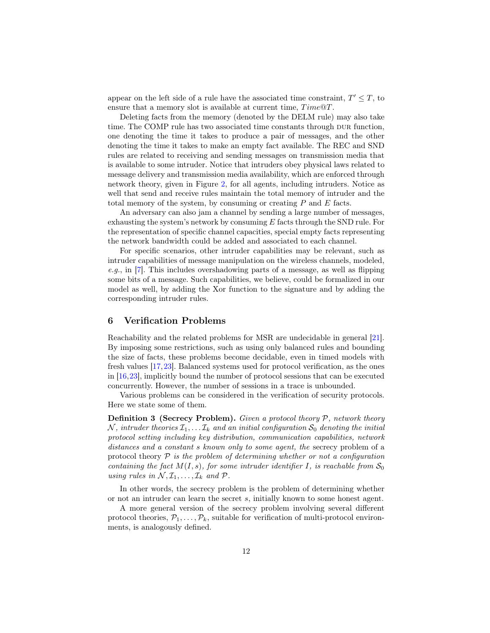appear on the left side of a rule have the associated time constraint,  $T' \leq T$ , to ensure that a memory slot is available at current time,  $Time@T$ .

Deleting facts from the memory (denoted by the DELM rule) may also take time. The COMP rule has two associated time constants through DUR function, one denoting the time it takes to produce a pair of messages, and the other denoting the time it takes to make an empty fact available. The REC and SND rules are related to receiving and sending messages on transmission media that is available to some intruder. Notice that intruders obey physical laws related to message delivery and transmission media availability, which are enforced through network theory, given in Figure [2,](#page-7-0) for all agents, including intruders. Notice as well that send and receive rules maintain the total memory of intruder and the total memory of the system, by consuming or creating P and E facts.

An adversary can also jam a channel by sending a large number of messages, exhausting the system's network by consuming  $E$  facts through the SND rule. For the representation of specific channel capacities, special empty facts representing the network bandwidth could be added and associated to each channel.

For specific scenarios, other intruder capabilities may be relevant, such as intruder capabilities of message manipulation on the wireless channels, modeled, e.g., in [\[7\]](#page-19-4). This includes overshadowing parts of a message, as well as flipping some bits of a message. Such capabilities, we believe, could be formalized in our model as well, by adding the Xor function to the signature and by adding the corresponding intruder rules.

# <span id="page-11-0"></span>6 Verification Problems

Reachability and the related problems for MSR are undecidable in general [\[21\]](#page-19-9). By imposing some restrictions, such as using only balanced rules and bounding the size of facts, these problems become decidable, even in timed models with fresh values [\[17,](#page-19-12)[23\]](#page-20-6). Balanced systems used for protocol verification, as the ones in [\[16,](#page-19-8)[23\]](#page-20-6), implicitly bound the number of protocol sessions that can be executed concurrently. However, the number of sessions in a trace is unbounded.

Various problems can be considered in the verification of security protocols. Here we state some of them.

Definition 3 (Secrecy Problem). Given a protocol theory  $P$ , network theory N, intruder theories  $\mathcal{I}_1, \ldots \mathcal{I}_k$  and an initial configuration  $\mathcal{S}_0$  denoting the initial protocol setting including key distribution, communication capabilities, network distances and a constant s known only to some agent, the secrecy problem of a protocol theory  $P$  is the problem of determining whether or not a configuration containing the fact  $M(I, s)$ , for some intruder identifier I, is reachable from  $S_0$ using rules in  $\mathcal{N}, \mathcal{I}_1, \ldots, \mathcal{I}_k$  and  $\mathcal{P}$ .

In other words, the secrecy problem is the problem of determining whether or not an intruder can learn the secret s, initially known to some honest agent.

A more general version of the secrecy problem involving several different protocol theories,  $\mathcal{P}_1, \ldots, \mathcal{P}_k$ , suitable for verification of multi-protocol environments, is analogously defined.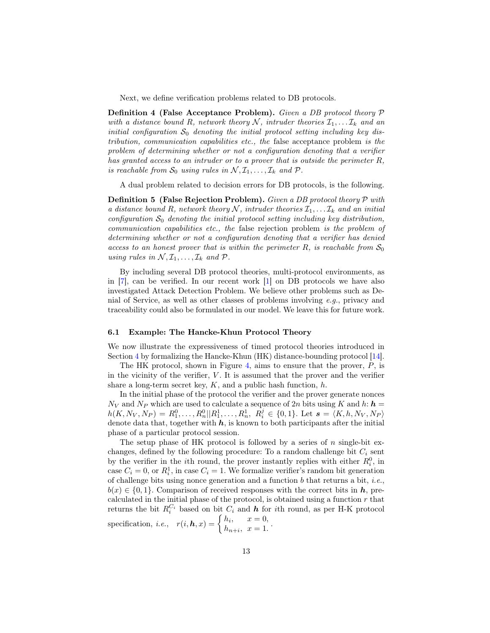Next, we define verification problems related to DB protocols.

**Definition 4 (False Acceptance Problem).** Given a DB protocol theory  $P$ with a distance bound R, network theory N, intruder theories  $\mathcal{I}_1, \ldots \mathcal{I}_k$  and an initial configuration  $S_0$  denoting the initial protocol setting including key distribution, communication capabilities etc., the false acceptance problem is the problem of determining whether or not a configuration denoting that a verifier has granted access to an intruder or to a prover that is outside the perimeter  $R$ , is reachable from  $S_0$  using rules in  $\mathcal{N}, \mathcal{I}_1, \ldots, \mathcal{I}_k$  and  $\mathcal{P}$ .

A dual problem related to decision errors for DB protocols, is the following.

**Definition 5** (False Rejection Problem). Given a DB protocol theory  $\mathcal{P}$  with a distance bound R, network theory N, intruder theories  $\mathcal{I}_1, \ldots \mathcal{I}_k$  and an initial configuration  $S_0$  denoting the initial protocol setting including key distribution, communication capabilities etc., the false rejection problem is the problem of determining whether or not a configuration denoting that a verifier has denied access to an honest prover that is within the perimeter R, is reachable from  $S_0$ using rules in  $\mathcal{N}, \mathcal{I}_1, \ldots, \mathcal{I}_k$  and  $\mathcal{P}$ .

By including several DB protocol theories, multi-protocol environments, as in [\[7\]](#page-19-4), can be verified. In our recent work [\[1\]](#page-18-0) on DB protocols we have also investigated Attack Detection Problem. We believe other problems such as Denial of Service, as well as other classes of problems involving e.g., privacy and traceability could also be formulated in our model. We leave this for future work.

#### <span id="page-12-0"></span>6.1 Example: The Hancke-Khun Protocol Theory

We now illustrate the expressiveness of timed protocol theories introduced in Section [4](#page-5-0) by formalizing the Hancke-Khun (HK) distance-bounding protocol [\[14\]](#page-19-3).

The HK protocol, shown in Figure [4,](#page-13-0) aims to ensure that the prover, P, is in the vicinity of the verifier,  $V$ . It is assumed that the prover and the verifier share a long-term secret key,  $K$ , and a public hash function,  $h$ .

In the initial phase of the protocol the verifier and the prover generate nonces  $N_V$  and  $N_P$  which are used to calculate a sequence of 2n bits using K and h:  $h =$  $h(K, N_V, N_P) = R_1^0, \ldots, R_n^0 || R_1^1, \ldots, R_n^1, R_i^j \in \{0, 1\}.$  Let  $s = \langle K, h, N_V, N_P \rangle$ denote data that, together with  $h$ , is known to both participants after the initial phase of a particular protocol session.

The setup phase of HK protocol is followed by a series of  $n$  single-bit exchanges, defined by the following procedure: To a random challenge bit  $C_i$  sent by the verifier in the *i*<sup>th</sup> round, the prover instantly replies with either  $R_i^0$ , in case  $C_i = 0$ , or  $R_i^1$ , in case  $C_i = 1$ . We formalize verifier's random bit generation of challenge bits using nonce generation and a function b that returns a bit, *i.e.*,  $b(x) \in \{0,1\}$ . Comparison of received responses with the correct bits in  $h$ , precalculated in the initial phase of the protocol, is obtained using a function  $r$  that returns the bit  $R_i^{C_i}$  based on bit  $C_i$  and  $h$  for *i*th round, as per H-K protocol specification, *i.e.*,  $r(i, h, x) = \begin{cases} h_i, & x = 0, \\ h_i, & x = 1, \end{cases}$  $h_{n+i}$ ,  $x = 0$ ,  $h_{n+i}$ ,  $x = 1$ .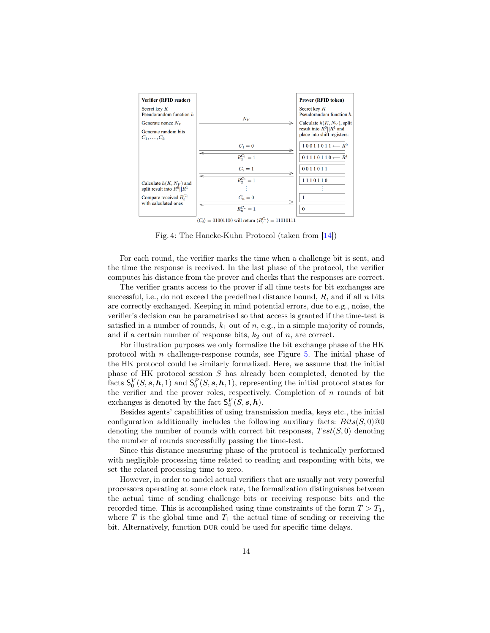<span id="page-13-0"></span>

Fig. 4: The Hancke-Kuhn Protocol (taken from [\[14\]](#page-19-3))

For each round, the verifier marks the time when a challenge bit is sent, and the time the response is received. In the last phase of the protocol, the verifier computes his distance from the prover and checks that the responses are correct.

The verifier grants access to the prover if all time tests for bit exchanges are successful, i.e., do not exceed the predefined distance bound,  $R$ , and if all  $n$  bits are correctly exchanged. Keeping in mind potential errors, due to e.g., noise, the verifier's decision can be parametrised so that access is granted if the time-test is satisfied in a number of rounds,  $k_1$  out of  $n$ , e.g., in a simple majority of rounds, and if a certain number of response bits,  $k_2$  out of n, are correct.

For illustration purposes we only formalize the bit exchange phase of the HK protocol with n challenge-response rounds, see Figure  $5$ . The initial phase of the HK protocol could be similarly formalized. Here, we assume that the initial phase of HK protocol session S has already been completed, denoted by the facts  $\mathsf{S}_{0}^{V}(S, \mathbf{s}, \mathbf{h}, 1)$  and  $\mathsf{S}_{0}^{P}(S, \mathbf{s}, \mathbf{h}, 1)$ , representing the initial protocol states for the verifier and the prover roles, respectively. Completion of  $n$  rounds of bit exchanges is denoted by the fact  $\mathsf{S}_4^V(S, \mathbf{s}, \mathbf{h})$ .

Besides agents' capabilities of using transmission media, keys etc., the initial configuration additionally includes the following auxiliary facts:  $Bits(S, 0)@0$ denoting the number of rounds with correct bit responses,  $Test(S, 0)$  denoting the number of rounds successfully passing the time-test.

Since this distance measuring phase of the protocol is technically performed with negligible processing time related to reading and responding with bits, we set the related processing time to zero.

However, in order to model actual verifiers that are usually not very powerful processors operating at some clock rate, the formalization distinguishes between the actual time of sending challenge bits or receiving response bits and the recorded time. This is accomplished using time constraints of the form  $T > T_1$ , where  $T$  is the global time and  $T_1$  the actual time of sending or receiving the bit. Alternatively, function DUR could be used for specific time delays.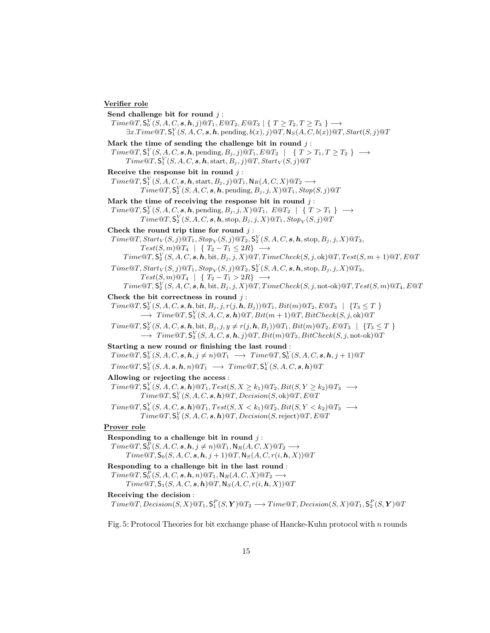<span id="page-14-0"></span>Verifier role

Send challenge bit for round  $j$ :  $Time@T, S_0^V(S, A, C, s, h, j)@T_1, E@T_2, E@T_3 \mid \{ T \geq T_2, T \geq T_3 \} \longrightarrow$  $\exists x. Time@T, \mathsf{S}_1^V(S,A,C,\boldsymbol{s},\boldsymbol{h},\text{pending},b(x),j)@T,\mathsf{N}_S(A,C,b(x))@T, Start(S,j)@T$ Mark the time of sending the challenge bit in round  $j$ :  $Time@T, \mathsf{S}_1^V(S, A, C, \mathbf{s}, \mathbf{h}, \text{pending}, B_j, j) @T_1, E @T_2 \;\;|\;\; \{ \;T > T_1, T \ge T_2 \;\} \;\longrightarrow$  $Time@T, \textsf{S}_1^V(S,A,C,\bm{s},\bm{h},\text{start},B_j,j)@T, Start_V(S,j)@T$ Receive the response bit in round  $j$ :  $Time@T, \mathsf{S}^V_1(S,A,C,\boldsymbol{s},\boldsymbol{h},\mathrm{start},B_j,j)$ @ $T_1,\mathsf{N}_R(A,C,X)$ @ $T_2 \longrightarrow$  $Time@T, \mathsf{S}^V_2(S,A,C,\boldsymbol{s},\boldsymbol{h},\text{pending},B_j,j,X)@T_1, Stop(S,j)@T$ Mark the time of receiving the response bit in round  $j$ :  $Time@T, S_2^V(S, A, C, s, h, \text{pending}, B_j, j, X) @T_1, E @T_2 \mid \{ T > T_1 \} \longrightarrow$  $Time@T, \mathsf{S}^V_2(S,A,C,\boldsymbol{s},\boldsymbol{h},\text{stop},B_j,j,X)$ @ $T_1, Stop_V(S,j)$ @ $T$ Check the round trip time for round  $j$ :  $Time@T, Start_V(S, j)@T_1, Stop_V(S, j)@T_2, \mathsf{S}_2^V(S, A, C, \boldsymbol{s}, \boldsymbol{h}, \text{stop}, B_j, j, X)@T_3,$  $Test(S, m) \mathbb{Q}T_4 \mid \{ T_2 - T_1 \leq 2R \} \longrightarrow$  $Time@T, \textsf{S}^V_2(S, A, C, \boldsymbol{s}, \boldsymbol{h}, \text{bit}, B_j, j, X)$ @T,  $TimeCheck(S, j, \text{ok})$ @T,  $Test(S, m+1)$ @T,  $E$ @T  $Time@T, Start_V(S, j)@T_1, Stop_V(S, j)@T_2, \mathsf{S}_2^V(S, A, C, \boldsymbol{s}, \boldsymbol{h}, \text{stop}, B_j, j, X)@T_3,$  $Test(S, m)@T_4 \mid \{T_2 - T_1 > 2R\} \longrightarrow$  $Time@T, \textsf{S}^V_2(S, A, C, \boldsymbol{s}, \boldsymbol{h}, \text{bit}, B_j, j, X)$ @T,  $TimeCheck(S, j, \text{not-ok})$ @T,  $Test(S, m)$ @T $_4, E$ @T Check the bit correctness in round  $j$ :  $Time@T, \mathsf{S}^V_2(S,A,C,\boldsymbol{s},\boldsymbol{h},\text{bit},B_j,j,r(j,\boldsymbol{h},B_j))@T_1,Bit(m)@T_2,E@T_3\;\mid\;\{T_3\leq T\;\}$  $\longrightarrow$   $Time@T, S_3^V(S, A, C, s, h)@T, Bit(m+1)@T, BitCheck(S, j, ok)@T$  $Time@T, \mathsf{S}_{2}^V(S, A, C, \mathbf{s}, \mathbf{h}, \text{bit}, B_j, j, y \neq r(j, \mathbf{h}, B_j))@T_1, Bit(m)@T_2, E@T_3 \;\;|\;\; \{T_3 \leq T\;\}$  $\longrightarrow$   $Time@T, S_3^V(S, A, C, s, h, j)@T, Bit(m)@T_2, BitCheck(S, j, not-ok)@T$ Starting a new round or finishing the last round :  $Time@T, \mathsf{S}_3^V(S, A, C, \boldsymbol{s}, \boldsymbol{h}, j \neq n)@T_1 \ \longrightarrow Time@T, \mathsf{S}_0^V(S, A, C, \boldsymbol{s}, \boldsymbol{h}, j + 1)@T$  $Time@T, \mathsf{S}_3^V(S,A,\bm{s},\bm{h},n)@T_1 \ \longrightarrow\ Time@T, \mathsf{S}_4^V(S,A,C,\bm{s},\bm{h})@T$ Allowing or rejecting the access :  $Time@T, S_4^V(S, A, C, \mathbf{s}, \mathbf{h})@T_1, Test(S, X \geq k_1)@T_2, Bit(S, Y \geq k_2)@T_3 \longrightarrow$  $Time@T, \textsf{S}^V_5(S, A, C, \boldsymbol{s}, \boldsymbol{h})@T, Decision(S, \textup{ok})@T, E@T$  $Time@T, \mathsf{S4}^V(S, A, C, \mathbf{s}, \mathbf{h})@T_1, Test(S, X < k_1)@T_2, Bit(S, Y < k_2)@T_3 \longrightarrow$  $Time@T, \begin{equation} \textbf{S}_{5}^{V}(S, A, C, \boldsymbol{s}, \boldsymbol{h})@T, Decision(S, reject)@T, E@T \end{equation}$ Prover role Responding to a challenge bit in round  $j$ :  $Time@T, \mathsf{S}_0^P(S, A, C, \mathbf{s}, \mathbf{h}, j \neq n) @T_1, \mathsf{N}_R(A, C, X) @T_2 \longrightarrow$  $Time@T, S_0(S, A, C, s, h, j+1)@T, N_S(A, C, r(i, h, X))@T$ Responding to a challenge bit in the last round :  $Time@T,$   $\mathsf{S}_{0}^{P}(S,A,C,\boldsymbol{s},\boldsymbol{h},n)$ @ $T_{1},$   $\mathsf{N}_{R}(A,C,X)$ @ $T_{2}$   $\longrightarrow$  $Time@T, S_1(S, A, C, s, h)@T, N_S(A, C, r(i, h, X))@T$ Receiving the decision :  $Time@T, Decision(S, X)@T_1, \mathsf{S}_1^P(S, Y)@T_2 \longrightarrow Time@T, Decision(S, X)@T_1, \mathsf{S}_2^P(S, Y)@T_2$ 

Fig. 5: Protocol Theories for bit exchange phase of Hancke-Kuhn protocol with n rounds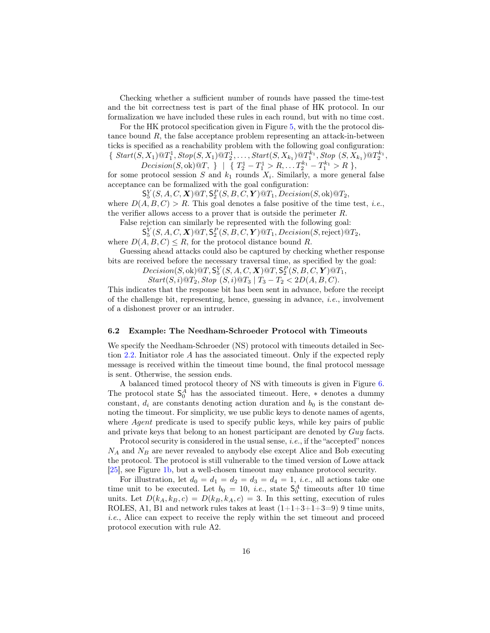Checking whether a sufficient number of rounds have passed the time-test and the bit correctness test is part of the final phase of HK protocol. In our formalization we have included these rules in each round, but with no time cost.

For the HK protocol specification given in Figure [5,](#page-14-0) with the the protocol distance bound  $R$ , the false acceptance problem representing an attack-in-between ticks is specified as a reachability problem with the following goal configuration:  $\{ Start(S, X_1) \tQT_1^1, Stop(S, X_1) \tQT_2^1, \ldots, Start(S, X_{k_1}) \tQT_1^{k_1}, Stop(S, X_{k_1}) \tQT_2^{k_1},$ 

 $Decision(S, ok)@T, \ \} \ \mid \ \{T_2^1 - T_1^1 > R, \dots T_2^{k_1} - T_1^{k_1} > R \ \},$ for some protocol session S and  $k_1$  rounds  $X_i$ . Similarly, a more general false acceptance can be formalized with the goal configuration:

 $\mathsf{S}_5^V(S,A,C,\boldsymbol{X})@T, \mathsf{S}_2^P(S,B,C,\boldsymbol{Y})@T_1, Decision(S,\mathrm{ok})@T_2,$ where  $D(A, B, C) > R$ . This goal denotes a false positive of the time test, *i.e.*, the verifier allows access to a prover that is outside the perimeter R.

False rejction can similarly be represented with the following goal:  $\mathsf{S}_5^V(S,A,C,\bm{X})$ @T, $\mathsf{S}_2^P(S,B,C,\bm{Y})$ @T<sub>1</sub>, Decision(S, reject)@T<sub>2</sub>,

where  $D(A, B, C) \leq R$ , for the protocol distance bound R.

Guessing ahead attacks could also be captured by checking whether response bits are received before the necessary traversal time, as specified by the goal:

 $Decision(S, ok)@T, S_5^V(S, A, C, X)@T, S_2^P(S, B, C, Y)@T_1,$ 

 $Start(S, i)@T_2, Stop(S, i)@T_3 | T_3 - T_2 < 2D(A, B, C).$ 

This indicates that the response bit has been sent in advance, before the receipt of the challenge bit, representing, hence, guessing in advance, *i.e.*, involvement of a dishonest prover or an intruder.

#### 6.2 Example: The Needham-Schroeder Protocol with Timeouts

We specify the Needham-Schroeder (NS) protocol with timeouts detailed in Section [2.2.](#page-2-0) Initiator role A has the associated timeout. Only if the expected reply message is received within the timeout time bound, the final protocol message is sent. Otherwise, the session ends.

A balanced timed protocol theory of NS with timeouts is given in Figure [6.](#page-16-1) The protocol state  $S_0^A$  has the associated timeout. Here,  $*$  denotes a dummy constant,  $d_i$  are constants denoting action duration and  $b_0$  is the constant denoting the timeout. For simplicity, we use public keys to denote names of agents, where *Agent* predicate is used to specify public keys, while key pairs of public and private keys that belong to an honest participant are denoted by Guy facts.

Protocol security is considered in the usual sense, i.e., if the "accepted" nonces  $N_A$  and  $N_B$  are never revealed to anybody else except Alice and Bob executing the protocol. The protocol is still vulnerable to the timed version of Lowe attack [\[25\]](#page-20-0), see Figure [1b,](#page-3-1) but a well-chosen timeout may enhance protocol security.

For illustration, let  $d_0 = d_1 = d_2 = d_3 = d_4 = 1$ , *i.e.*, all actions take one time unit to be executed. Let  $b_0 = 10$ , *i.e.*, state  $S_0^A$  timeouts after 10 time units. Let  $D(k_A, k_B, c) = D(k_B, k_A, c) = 3$ . In this setting, execution of rules ROLES, A1, B1 and network rules takes at least  $(1+1+3+1+3=9)$  9 time units, i.e., Alice can expect to receive the reply within the set timeout and proceed protocol execution with rule A2.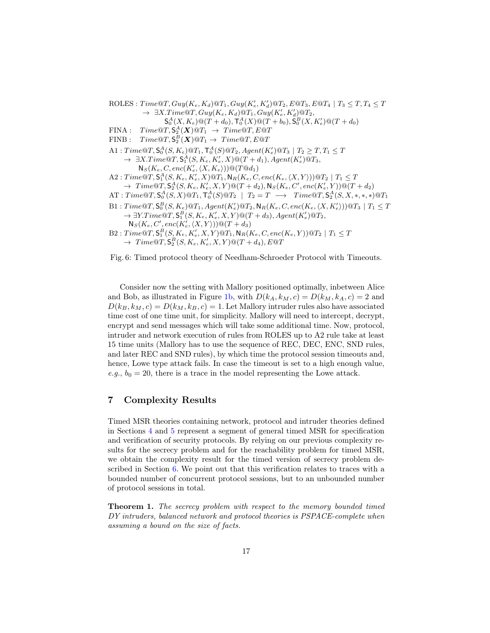<span id="page-16-1"></span>ROLES : Time@T,  $Guy(K_e, K_d)$ @T<sub>1</sub>,  $Guy(K'_e, K'_d)$ @T<sub>2</sub>, E@T<sub>3</sub>, E@T<sub>4</sub> | T<sub>3</sub>  $\leq T, T_4 \leq T_4$  $\rightarrow \exists X. Time \mathcal{Q}T, Guy(K_e, K_d) \mathcal{Q}T_1, Guy(K'_e, K'_d) \mathcal{Q}T_2,$  $\mathsf{S}_{0}^{A}(X,K_{e})@(T+d_{0}), \mathsf{T}_{0}^{A}(X)@(T+b_{0}), \mathsf{S}_{0}^{B}(X,K_{e}')@(T+d_{0})$ FINA :  $Time@T, S_2^A(X)@T_1 \rightarrow Time@T, E@T$ FINB :  $Time@T, S_2^B(X)@T_1 \rightarrow Time@T, E@T$  $A1: Time@T, S_0^A(S, K_e)@T_1, T_0^A(S)@T_2, Agent(K'_e)@T_3 \mid T_2 \geq T, T_1 \leq T$  $\rightarrow \exists X. Time \mathcal{Q}T, \mathsf{S}_1^A(S, K_e, K'_e, X) \mathcal{Q}(T + d_1), Agent(K'_e) \mathcal{Q}T_3,$  $N_S(K_e, C, enc(K'_e, \langle X, K_e \rangle)) \mathcal{Q}(T \mathcal{Q} d_1)$  $A2: Time@T, S_1^A(S, K_e, K'_e, X)@T_1, N_R(K_e, C, enc(K_e, \langle X, Y \rangle))@T_2 \mid T_1 \leq T$  $\rightarrow Time@T, S_2^A(S, K_e, K'_e, X, Y) \mathcal{Q}(T + d_2), N_S(K_e, C', enc(K'_e, Y)) \mathcal{Q}(T + d_2)$  $AT: Time@T, S_0^A(S, X)@T_1, T_0^A(S)@T_2 \mid T_2 = T \rightarrow Time@T, S_2^A(S, X, *, *, *)\mathcal{Q}T_1$  $B1: Time@T, \mathsf{S}_0^B(S, K_e)@T_1, Agent(K'_e)@T_2, \mathsf{N}_R(K_e, C, enc(K_e, \langle X, K'_e \rangle))@T_3 \mid T_1 \leq T_2$  $\rightarrow \exists Y. Time@T, \mathsf{S}_1^B(S, K_e, K'_e, X, Y) @ (T + d_3), Agent(K'_e) @ T_2,$  $\mathsf{N}_S(K_e,C',enc(K'_e,\langle X,Y\rangle))@(T+d_3)$  $B2: Time@T, S_1^B(S, K_e, K'_e, X, Y)@T_1, N_R(K_e, C, enc(K_e, Y))@T_2 \mid T_1 \leq T$  $\rightarrow Time@T, S_2^B(S, K_e, K'_e, X, Y)@(T + d_4), E@T$ 

Fig. 6: Timed protocol theory of Needham-Schroeder Protocol with Timeouts.

Consider now the setting with Mallory positioned optimally, inbetween Alice and Bob, as illustrated in Figure [1b,](#page-3-1) with  $D(k_A, k_M, c) = D(k_M, k_A, c) = 2$  and  $D(k_B, k_M, c) = D(k_M, k_B, c) = 1$ . Let Mallory intruder rules also have associated time cost of one time unit, for simplicity. Mallory will need to intercept, decrypt, encrypt and send messages which will take some additional time. Now, protocol, intruder and network execution of rules from ROLES up to A2 rule take at least 15 time units (Mallory has to use the sequence of REC, DEC, ENC, SND rules, and later REC and SND rules), by which time the protocol session timeouts and, hence, Lowe type attack fails. In case the timeout is set to a high enough value, e.g.,  $b_0 = 20$ , there is a trace in the model representing the Lowe attack.

# <span id="page-16-0"></span>7 Complexity Results

Timed MSR theories containing network, protocol and intruder theories defined in Sections [4](#page-5-0) and [5](#page-9-0) represent a segment of general timed MSR for specification and verification of security protocols. By relying on our previous complexity results for the secrecy problem and for the reachability problem for timed MSR, we obtain the complexity result for the timed version of secrecy problem de-scribed in Section [6.](#page-11-0) We point out that this verification relates to traces with a bounded number of concurrent protocol sessions, but to an unbounded number of protocol sessions in total.

Theorem 1. The secrecy problem with respect to the memory bounded timed DY intruders, balanced network and protocol theories is PSPACE-complete when assuming a bound on the size of facts.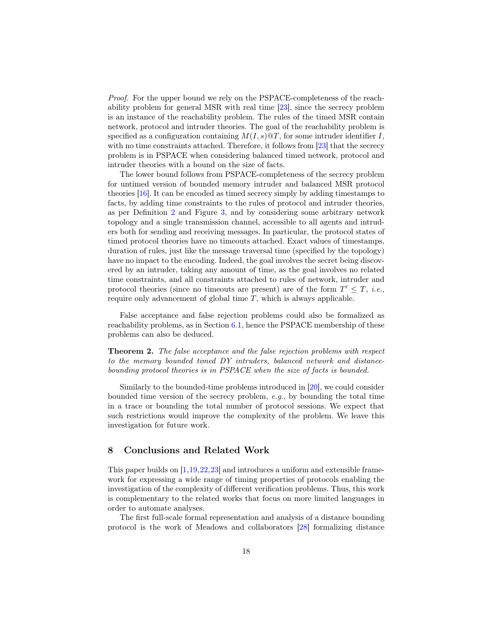Proof. For the upper bound we rely on the PSPACE-completeness of the reachability problem for general MSR with real time [\[23\]](#page-20-6), since the secrecy problem is an instance of the reachability problem. The rules of the timed MSR contain network, protocol and intruder theories. The goal of the reachability problem is specified as a configuration containing  $M(I, s) \tQ T$ , for some intruder identifier I, with no time constraints attached. Therefore, it follows from [\[23\]](#page-20-6) that the secrecy problem is in PSPACE when considering balanced timed network, protocol and intruder theories with a bound on the size of facts.

The lower bound follows from PSPACE-completeness of the secrecy problem for untimed version of bounded memory intruder and balanced MSR protocol theories [\[16\]](#page-19-8). It can be encoded as timed secrecy simply by adding timestamps to facts, by adding time constraints to the rules of protocol and intruder theories, as per Definition [2](#page-8-0) and Figure [3,](#page-10-0) and by considering some arbitrary network topology and a single transmission channel, accessible to all agents and intruders both for sending and receiving messages. In particular, the protocol states of timed protocol theories have no timeouts attached. Exact values of timestamps, duration of rules, just like the message traversal time (specified by the topology) have no impact to the encoding. Indeed, the goal involves the secret being discovered by an intruder, taking any amount of time, as the goal involves no related time constraints, and all constraints attached to rules of network, intruder and protocol theories (since no timeouts are present) are of the form  $T' \leq T$ , *i.e.*, require only advancement of global time  $T$ , which is always applicable.

False acceptance and false rejection problems could also be formalized as reachability problems, as in Section [6.1,](#page-12-0) hence the PSPACE membership of these problems can also be deduced.

Theorem 2. The false acceptance and the false rejection problems with respect to the memory bounded timed DY intruders, balanced network and distancebounding protocol theories is in PSPACE when the size of facts is bounded.

Similarly to the bounded-time problems introduced in [\[20\]](#page-19-13), we could consider bounded time version of the secrecy problem,  $e.g.,$  by bounding the total time in a trace or bounding the total number of protocol sessions. We expect that such restrictions would improve the complexity of the problem. We leave this investigation for future work.

# <span id="page-17-0"></span>8 Conclusions and Related Work

This paper builds on  $[1,19,22,23]$  $[1,19,22,23]$  $[1,19,22,23]$  $[1,19,22,23]$  and introduces a uniform and extensible framework for expressing a wide range of timing properties of protocols enabling the investigation of the complexity of different verification problems. Thus, this work is complementary to the related works that focus on more limited languages in order to automate analyses.

The first full-scale formal representation and analysis of a distance bounding protocol is the work of Meadows and collaborators [\[28\]](#page-20-3) formalizing distance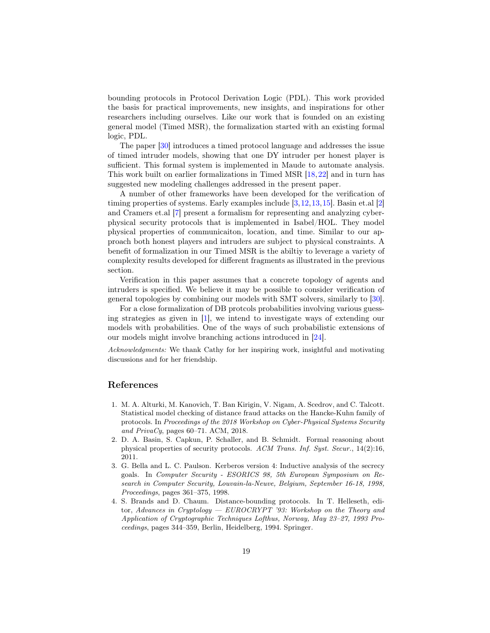bounding protocols in Protocol Derivation Logic (PDL). This work provided the basis for practical improvements, new insights, and inspirations for other researchers including ourselves. Like our work that is founded on an existing general model (Timed MSR), the formalization started with an existing formal logic, PDL.

The paper [\[30\]](#page-20-8) introduces a timed protocol language and addresses the issue of timed intruder models, showing that one DY intruder per honest player is sufficient. This formal system is implemented in Maude to automate analysis. This work built on earlier formalizations in Timed MSR [\[18,](#page-19-14)[22\]](#page-19-2) and in turn has suggested new modeling challenges addressed in the present paper.

A number of other frameworks have been developed for the verification of timing properties of systems. Early examples include [\[3,](#page-18-2)[12,](#page-19-15)[13,](#page-19-16)[15\]](#page-19-17). Basin et.al [\[2\]](#page-18-3) and Cramers et.al [\[7\]](#page-19-4) present a formalism for representing and analyzing cyberphysical security protocols that is implemented in Isabel/HOL. They model physical properties of communicaiton, location, and time. Similar to our approach both honest players and intruders are subject to physical constraints. A benefit of formalization in our Timed MSR is the abiltiy to leverage a variety of complexity results developed for different fragments as illustrated in the previous section.

Verification in this paper assumes that a concrete topology of agents and intruders is specified. We believe it may be possible to consider verification of general topologies by combining our models with SMT solvers, similarly to [\[30\]](#page-20-8).

For a close formalization of DB protcols probabilities involving various guessing strategies as given in [\[1\]](#page-18-0), we intend to investigate ways of extending our models with probabilities. One of the ways of such probabilistic extensions of our models might involve branching actions introduced in [\[24\]](#page-20-9).

Acknowledgments: We thank Cathy for her inspiring work, insightful and motivating discussions and for her friendship.

## References

- <span id="page-18-0"></span>1. M. A. Alturki, M. Kanovich, T. Ban Kirigin, V. Nigam, A. Scedrov, and C. Talcott. Statistical model checking of distance fraud attacks on the Hancke-Kuhn family of protocols. In Proceedings of the 2018 Workshop on Cyber-Physical Systems Security and  $PrivaCy$ , pages 60–71. ACM, 2018.
- <span id="page-18-3"></span>2. D. A. Basin, S. Capkun, P. Schaller, and B. Schmidt. Formal reasoning about physical properties of security protocols. ACM Trans. Inf. Syst. Secur., 14(2):16, 2011.
- <span id="page-18-2"></span>3. G. Bella and L. C. Paulson. Kerberos version 4: Inductive analysis of the secrecy goals. In Computer Security - ESORICS 98, 5th European Symposium on Research in Computer Security, Louvain-la-Neuve, Belgium, September 16-18, 1998, Proceedings, pages 361–375, 1998.
- <span id="page-18-1"></span>4. S. Brands and D. Chaum. Distance-bounding protocols. In T. Helleseth, editor, Advances in Cryptology — EUROCRYPT '93: Workshop on the Theory and Application of Cryptographic Techniques Lofthus, Norway, May 23–27, 1993 Proceedings, pages 344–359, Berlin, Heidelberg, 1994. Springer.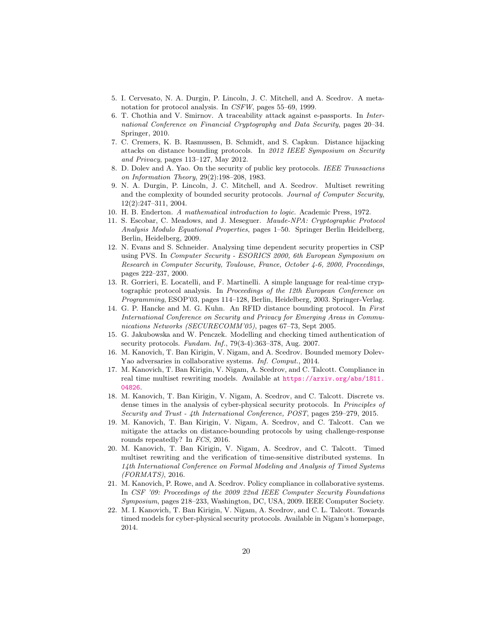- <span id="page-19-6"></span>5. I. Cervesato, N. A. Durgin, P. Lincoln, J. C. Mitchell, and A. Scedrov. A metanotation for protocol analysis. In CSFW, pages 55–69, 1999.
- <span id="page-19-11"></span>6. T. Chothia and V. Smirnov. A traceability attack against e-passports. In International Conference on Financial Cryptography and Data Security, pages 20–34. Springer, 2010.
- <span id="page-19-4"></span>7. C. Cremers, K. B. Rasmussen, B. Schmidt, and S. Capkun. Distance hijacking attacks on distance bounding protocols. In 2012 IEEE Symposium on Security and Privacy, pages 113–127, May 2012.
- <span id="page-19-10"></span>8. D. Dolev and A. Yao. On the security of public key protocols. IEEE Transactions on Information Theory, 29(2):198–208, 1983.
- <span id="page-19-7"></span>9. N. A. Durgin, P. Lincoln, J. C. Mitchell, and A. Scedrov. Multiset rewriting and the complexity of bounded security protocols. Journal of Computer Security, 12(2):247–311, 2004.
- <span id="page-19-5"></span>10. H. B. Enderton. A mathematical introduction to logic. Academic Press, 1972.
- <span id="page-19-0"></span>11. S. Escobar, C. Meadows, and J. Meseguer. Maude-NPA: Cryptographic Protocol Analysis Modulo Equational Properties, pages 1–50. Springer Berlin Heidelberg, Berlin, Heidelberg, 2009.
- <span id="page-19-15"></span>12. N. Evans and S. Schneider. Analysing time dependent security properties in CSP using PVS. In Computer Security - ESORICS 2000, 6th European Symposium on Research in Computer Security, Toulouse, France, October 4-6, 2000, Proceedings, pages 222–237, 2000.
- <span id="page-19-16"></span>13. R. Gorrieri, E. Locatelli, and F. Martinelli. A simple language for real-time cryptographic protocol analysis. In Proceedings of the 12th European Conference on Programming, ESOP'03, pages 114–128, Berlin, Heidelberg, 2003. Springer-Verlag.
- <span id="page-19-3"></span>14. G. P. Hancke and M. G. Kuhn. An RFID distance bounding protocol. In First International Conference on Security and Privacy for Emerging Areas in Communications Networks (SECURECOMM'05), pages 67–73, Sept 2005.
- <span id="page-19-17"></span>15. G. Jakubowska and W. Penczek. Modelling and checking timed authentication of security protocols. Fundam. Inf., 79(3-4):363–378, Aug. 2007.
- <span id="page-19-8"></span>16. M. Kanovich, T. Ban Kirigin, V. Nigam, and A. Scedrov. Bounded memory Dolev-Yao adversaries in collaborative systems. Inf. Comput., 2014.
- <span id="page-19-12"></span>17. M. Kanovich, T. Ban Kirigin, V. Nigam, A. Scedrov, and C. Talcott. Compliance in real time multiset rewriting models. Available at [https://arxiv.org/abs/1811.]( https://arxiv.org/abs/1811.04826) [04826]( https://arxiv.org/abs/1811.04826).
- <span id="page-19-14"></span>18. M. Kanovich, T. Ban Kirigin, V. Nigam, A. Scedrov, and C. Talcott. Discrete vs. dense times in the analysis of cyber-physical security protocols. In Principles of Security and Trust - 4th International Conference, POST, pages 259–279, 2015.
- <span id="page-19-1"></span>19. M. Kanovich, T. Ban Kirigin, V. Nigam, A. Scedrov, and C. Talcott. Can we mitigate the attacks on distance-bounding protocols by using challenge-response rounds repeatedly? In FCS, 2016.
- <span id="page-19-13"></span>20. M. Kanovich, T. Ban Kirigin, V. Nigam, A. Scedrov, and C. Talcott. Timed multiset rewriting and the verification of time-sensitive distributed systems. In 14th International Conference on Formal Modeling and Analysis of Timed Systems (FORMATS), 2016.
- <span id="page-19-9"></span>21. M. Kanovich, P. Rowe, and A. Scedrov. Policy compliance in collaborative systems. In CSF '09: Proceedings of the 2009 22nd IEEE Computer Security Foundations Symposium, pages 218–233, Washington, DC, USA, 2009. IEEE Computer Society.
- <span id="page-19-2"></span>22. M. I. Kanovich, T. Ban Kirigin, V. Nigam, A. Scedrov, and C. L. Talcott. Towards timed models for cyber-physical security protocols. Available in Nigam's homepage, 2014.